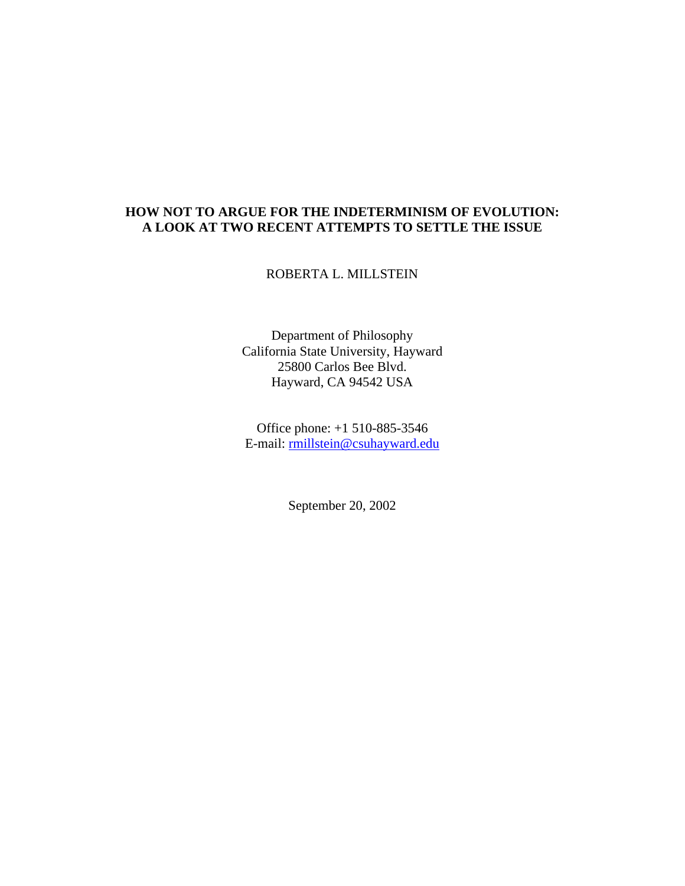# **HOW NOT TO ARGUE FOR THE INDETERMINISM OF EVOLUTION: A LOOK AT TWO RECENT ATTEMPTS TO SETTLE THE ISSUE**

ROBERTA L. MILLSTEIN

Department of Philosophy California State University, Hayward 25800 Carlos Bee Blvd. Hayward, CA 94542 USA

Office phone: +1 510-885-3546 E-mail: rmillstein@csuhayward.edu

September 20, 2002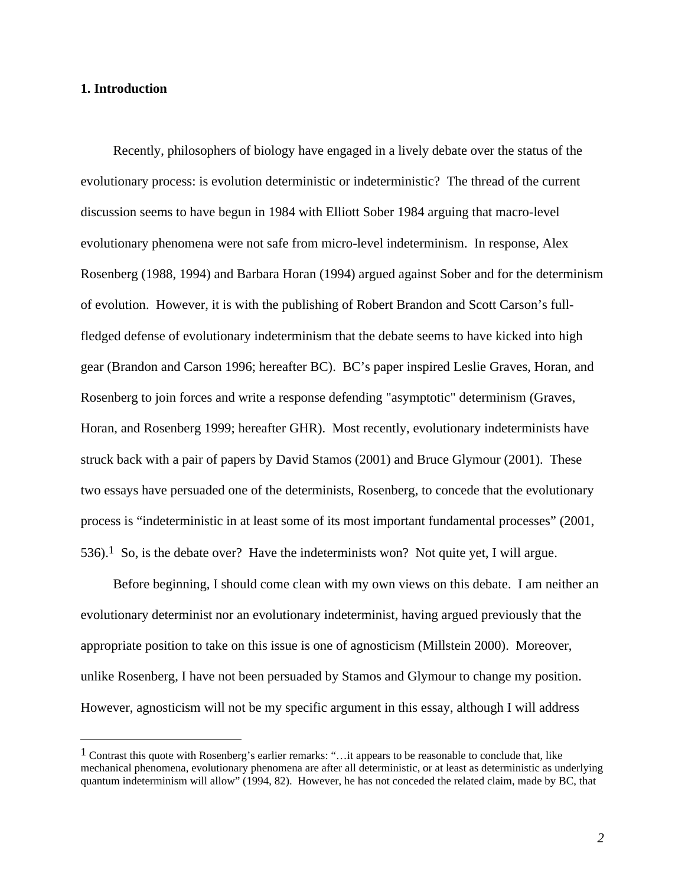### **1. Introduction**

 $\overline{a}$ 

Recently, philosophers of biology have engaged in a lively debate over the status of the evolutionary process: is evolution deterministic or indeterministic? The thread of the current discussion seems to have begun in 1984 with Elliott Sober 1984 arguing that macro-level evolutionary phenomena were not safe from micro-level indeterminism. In response, Alex Rosenberg (1988, 1994) and Barbara Horan (1994) argued against Sober and for the determinism of evolution. However, it is with the publishing of Robert Brandon and Scott Carson's fullfledged defense of evolutionary indeterminism that the debate seems to have kicked into high gear (Brandon and Carson 1996; hereafter BC). BC's paper inspired Leslie Graves, Horan, and Rosenberg to join forces and write a response defending "asymptotic" determinism (Graves, Horan, and Rosenberg 1999; hereafter GHR). Most recently, evolutionary indeterminists have struck back with a pair of papers by David Stamos (2001) and Bruce Glymour (2001). These two essays have persuaded one of the determinists, Rosenberg, to concede that the evolutionary process is "indeterministic in at least some of its most important fundamental processes" (2001, 536).<sup>1</sup> So, is the debate over? Have the indeterminists won? Not quite yet, I will argue.

Before beginning, I should come clean with my own views on this debate. I am neither an evolutionary determinist nor an evolutionary indeterminist, having argued previously that the appropriate position to take on this issue is one of agnosticism (Millstein 2000). Moreover, unlike Rosenberg, I have not been persuaded by Stamos and Glymour to change my position. However, agnosticism will not be my specific argument in this essay, although I will address

<sup>1</sup> Contrast this quote with Rosenberg's earlier remarks: "…it appears to be reasonable to conclude that, like mechanical phenomena, evolutionary phenomena are after all deterministic, or at least as deterministic as underlying quantum indeterminism will allow" (1994, 82). However, he has not conceded the related claim, made by BC, that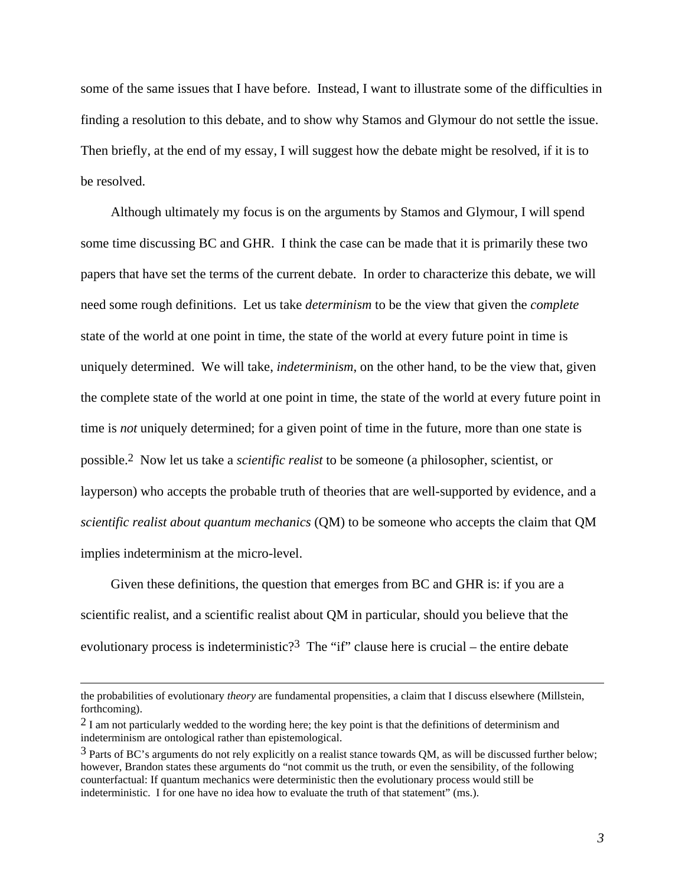some of the same issues that I have before. Instead, I want to illustrate some of the difficulties in finding a resolution to this debate, and to show why Stamos and Glymour do not settle the issue. Then briefly, at the end of my essay, I will suggest how the debate might be resolved, if it is to be resolved.

Although ultimately my focus is on the arguments by Stamos and Glymour, I will spend some time discussing BC and GHR. I think the case can be made that it is primarily these two papers that have set the terms of the current debate. In order to characterize this debate, we will need some rough definitions. Let us take *determinism* to be the view that given the *complete* state of the world at one point in time, the state of the world at every future point in time is uniquely determined. We will take, *indeterminism*, on the other hand, to be the view that, given the complete state of the world at one point in time, the state of the world at every future point in time is *not* uniquely determined; for a given point of time in the future, more than one state is possible.2 Now let us take a *scientific realist* to be someone (a philosopher, scientist, or layperson) who accepts the probable truth of theories that are well-supported by evidence, and a *scientific realist about quantum mechanics* (QM) to be someone who accepts the claim that QM implies indeterminism at the micro-level.

Given these definitions, the question that emerges from BC and GHR is: if you are a scientific realist, and a scientific realist about QM in particular, should you believe that the evolutionary process is indeterministic?<sup>3</sup> The "if" clause here is crucial – the entire debate

the probabilities of evolutionary *theory* are fundamental propensities, a claim that I discuss elsewhere (Millstein, forthcoming).

 $2$  I am not particularly wedded to the wording here; the key point is that the definitions of determinism and indeterminism are ontological rather than epistemological.

<sup>3</sup> Parts of BC's arguments do not rely explicitly on a realist stance towards QM, as will be discussed further below; however, Brandon states these arguments do "not commit us the truth, or even the sensibility, of the following counterfactual: If quantum mechanics were deterministic then the evolutionary process would still be indeterministic. I for one have no idea how to evaluate the truth of that statement" (ms.).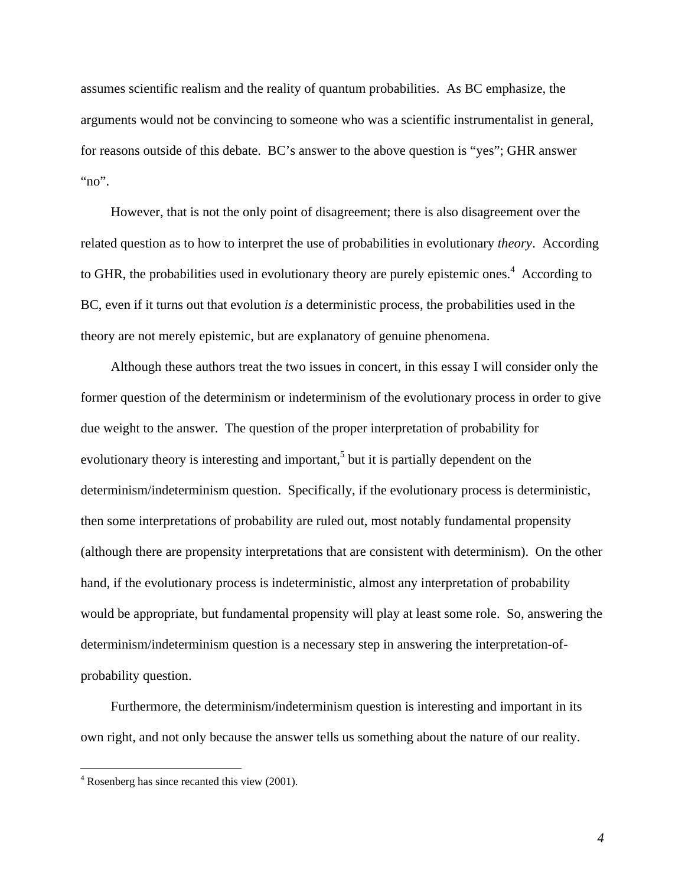assumes scientific realism and the reality of quantum probabilities. As BC emphasize, the arguments would not be convincing to someone who was a scientific instrumentalist in general, for reasons outside of this debate. BC's answer to the above question is "yes"; GHR answer "no".

However, that is not the only point of disagreement; there is also disagreement over the related question as to how to interpret the use of probabilities in evolutionary *theory*. According to GHR, the probabilities used in evolutionary theory are purely epistemic ones.<sup>4</sup> According to BC, even if it turns out that evolution *is* a deterministic process, the probabilities used in the theory are not merely epistemic, but are explanatory of genuine phenomena.

Although these authors treat the two issues in concert, in this essay I will consider only the former question of the determinism or indeterminism of the evolutionary process in order to give due weight to the answer. The question of the proper interpretation of probability for evolutionary theory is interesting and important,<sup>5</sup> but it is partially dependent on the determinism/indeterminism question. Specifically, if the evolutionary process is deterministic, then some interpretations of probability are ruled out, most notably fundamental propensity (although there are propensity interpretations that are consistent with determinism). On the other hand, if the evolutionary process is indeterministic, almost any interpretation of probability would be appropriate, but fundamental propensity will play at least some role. So, answering the determinism/indeterminism question is a necessary step in answering the interpretation-ofprobability question.

Furthermore, the determinism/indeterminism question is interesting and important in its own right, and not only because the answer tells us something about the nature of our reality.

<sup>&</sup>lt;sup>4</sup> Rosenberg has since recanted this view (2001).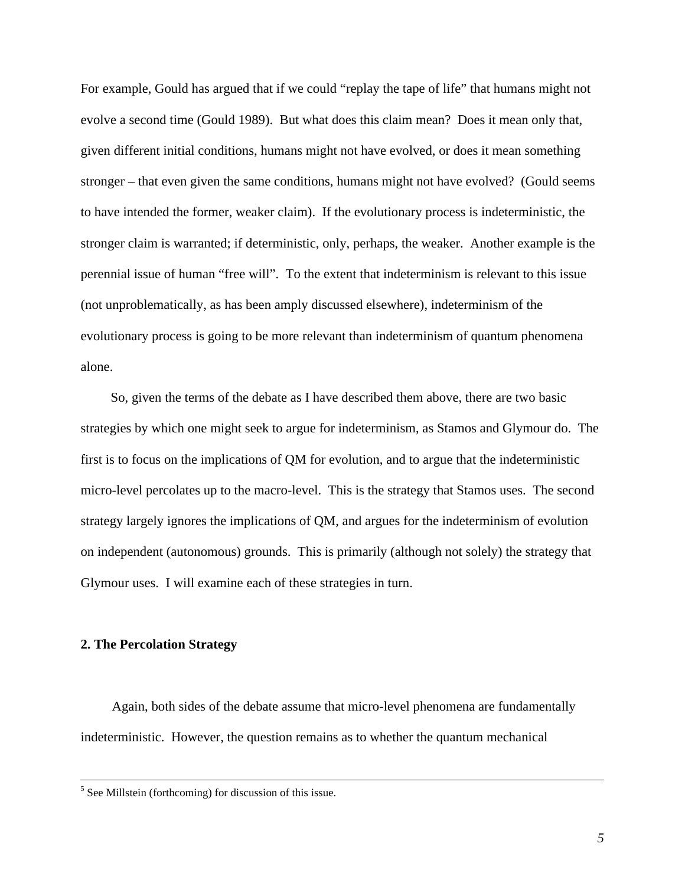For example, Gould has argued that if we could "replay the tape of life" that humans might not evolve a second time (Gould 1989). But what does this claim mean? Does it mean only that, given different initial conditions, humans might not have evolved, or does it mean something stronger – that even given the same conditions, humans might not have evolved? (Gould seems to have intended the former, weaker claim). If the evolutionary process is indeterministic, the stronger claim is warranted; if deterministic, only, perhaps, the weaker. Another example is the perennial issue of human "free will". To the extent that indeterminism is relevant to this issue (not unproblematically, as has been amply discussed elsewhere), indeterminism of the evolutionary process is going to be more relevant than indeterminism of quantum phenomena alone.

So, given the terms of the debate as I have described them above, there are two basic strategies by which one might seek to argue for indeterminism, as Stamos and Glymour do. The first is to focus on the implications of QM for evolution, and to argue that the indeterministic micro-level percolates up to the macro-level. This is the strategy that Stamos uses. The second strategy largely ignores the implications of QM, and argues for the indeterminism of evolution on independent (autonomous) grounds. This is primarily (although not solely) the strategy that Glymour uses. I will examine each of these strategies in turn.

#### **2. The Percolation Strategy**

 $\overline{a}$ 

Again, both sides of the debate assume that micro-level phenomena are fundamentally indeterministic. However, the question remains as to whether the quantum mechanical

 $<sup>5</sup>$  See Millstein (forthcoming) for discussion of this issue.</sup>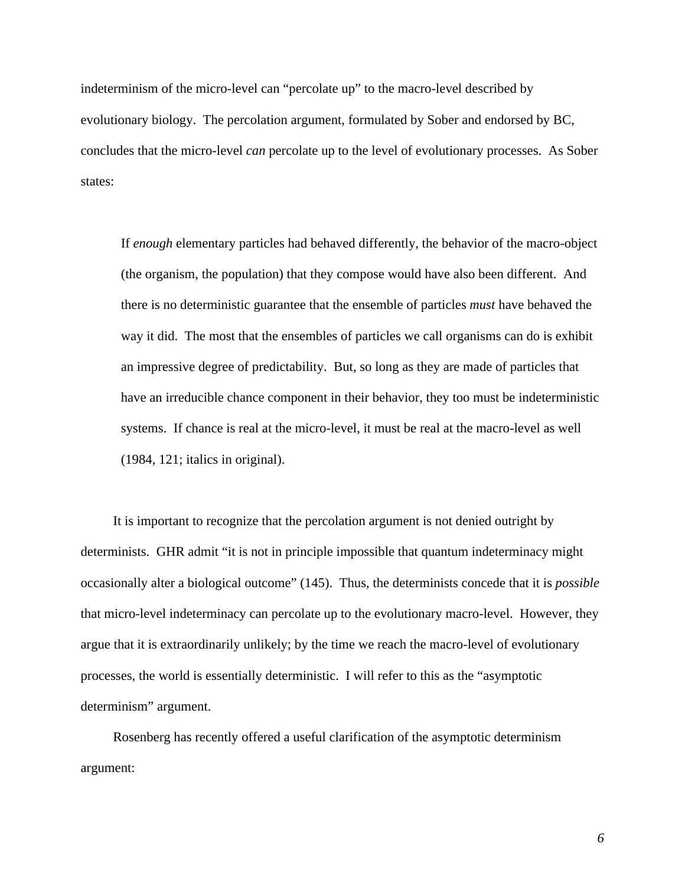indeterminism of the micro-level can "percolate up" to the macro-level described by evolutionary biology. The percolation argument, formulated by Sober and endorsed by BC, concludes that the micro-level *can* percolate up to the level of evolutionary processes. As Sober states:

If *enough* elementary particles had behaved differently, the behavior of the macro-object (the organism, the population) that they compose would have also been different. And there is no deterministic guarantee that the ensemble of particles *must* have behaved the way it did. The most that the ensembles of particles we call organisms can do is exhibit an impressive degree of predictability. But, so long as they are made of particles that have an irreducible chance component in their behavior, they too must be indeterministic systems. If chance is real at the micro-level, it must be real at the macro-level as well (1984, 121; italics in original).

It is important to recognize that the percolation argument is not denied outright by determinists. GHR admit "it is not in principle impossible that quantum indeterminacy might occasionally alter a biological outcome" (145). Thus, the determinists concede that it is *possible* that micro-level indeterminacy can percolate up to the evolutionary macro-level. However, they argue that it is extraordinarily unlikely; by the time we reach the macro-level of evolutionary processes, the world is essentially deterministic. I will refer to this as the "asymptotic determinism" argument.

Rosenberg has recently offered a useful clarification of the asymptotic determinism argument: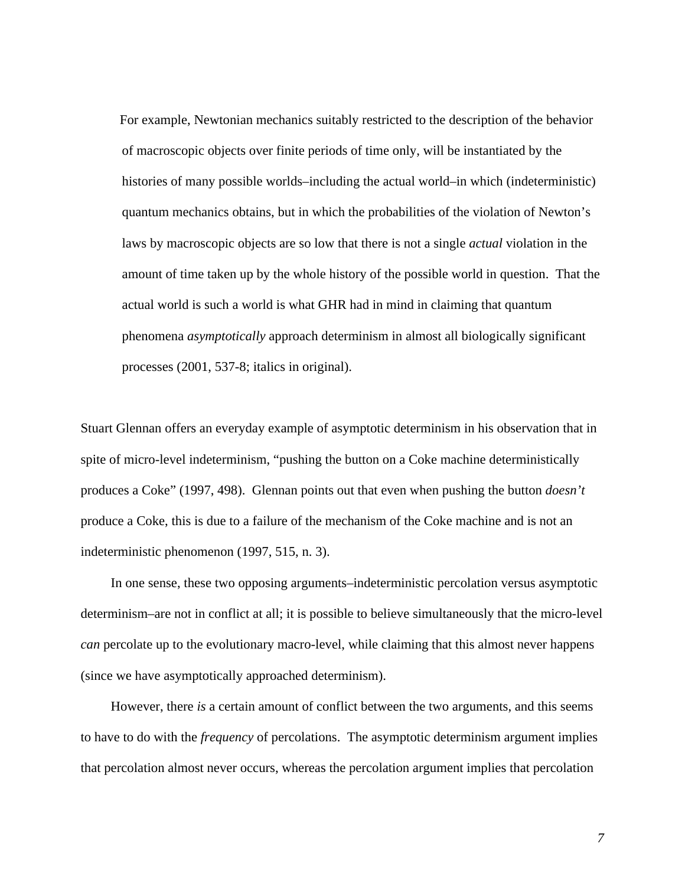For example, Newtonian mechanics suitably restricted to the description of the behavior of macroscopic objects over finite periods of time only, will be instantiated by the histories of many possible worlds–including the actual world–in which (indeterministic) quantum mechanics obtains, but in which the probabilities of the violation of Newton's laws by macroscopic objects are so low that there is not a single *actual* violation in the amount of time taken up by the whole history of the possible world in question. That the actual world is such a world is what GHR had in mind in claiming that quantum phenomena *asymptotically* approach determinism in almost all biologically significant processes (2001, 537-8; italics in original).

Stuart Glennan offers an everyday example of asymptotic determinism in his observation that in spite of micro-level indeterminism, "pushing the button on a Coke machine deterministically produces a Coke" (1997, 498). Glennan points out that even when pushing the button *doesn't* produce a Coke, this is due to a failure of the mechanism of the Coke machine and is not an indeterministic phenomenon (1997, 515, n. 3).

In one sense, these two opposing arguments–indeterministic percolation versus asymptotic determinism–are not in conflict at all; it is possible to believe simultaneously that the micro-level *can* percolate up to the evolutionary macro-level, while claiming that this almost never happens (since we have asymptotically approached determinism).

However, there *is* a certain amount of conflict between the two arguments, and this seems to have to do with the *frequency* of percolations. The asymptotic determinism argument implies that percolation almost never occurs, whereas the percolation argument implies that percolation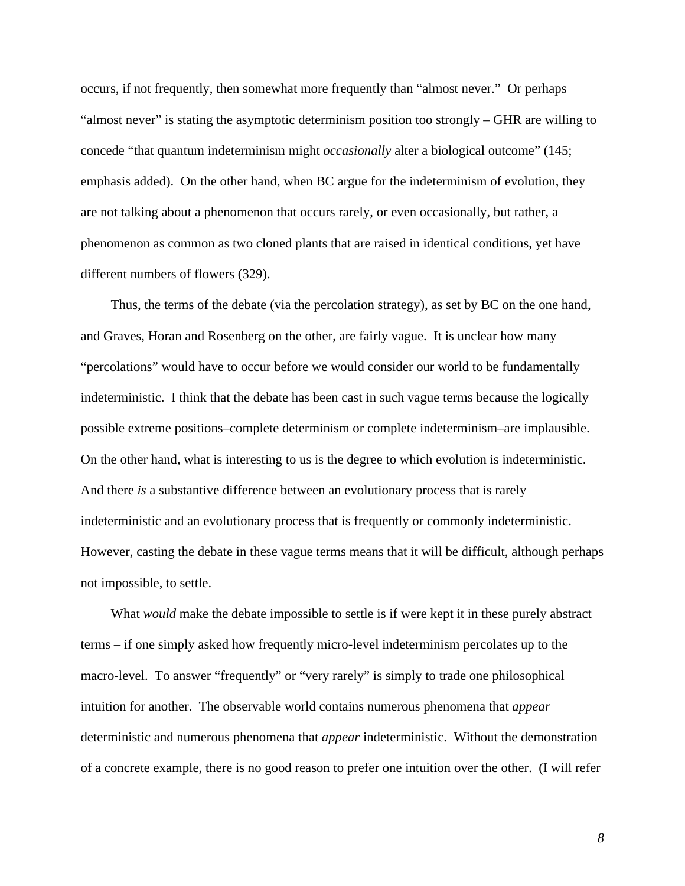occurs, if not frequently, then somewhat more frequently than "almost never." Or perhaps "almost never" is stating the asymptotic determinism position too strongly – GHR are willing to concede "that quantum indeterminism might *occasionally* alter a biological outcome" (145; emphasis added). On the other hand, when BC argue for the indeterminism of evolution, they are not talking about a phenomenon that occurs rarely, or even occasionally, but rather, a phenomenon as common as two cloned plants that are raised in identical conditions, yet have different numbers of flowers (329).

Thus, the terms of the debate (via the percolation strategy), as set by BC on the one hand, and Graves, Horan and Rosenberg on the other, are fairly vague. It is unclear how many "percolations" would have to occur before we would consider our world to be fundamentally indeterministic. I think that the debate has been cast in such vague terms because the logically possible extreme positions–complete determinism or complete indeterminism–are implausible. On the other hand, what is interesting to us is the degree to which evolution is indeterministic. And there *is* a substantive difference between an evolutionary process that is rarely indeterministic and an evolutionary process that is frequently or commonly indeterministic. However, casting the debate in these vague terms means that it will be difficult, although perhaps not impossible, to settle.

What *would* make the debate impossible to settle is if were kept it in these purely abstract terms – if one simply asked how frequently micro-level indeterminism percolates up to the macro-level. To answer "frequently" or "very rarely" is simply to trade one philosophical intuition for another. The observable world contains numerous phenomena that *appear* deterministic and numerous phenomena that *appear* indeterministic. Without the demonstration of a concrete example, there is no good reason to prefer one intuition over the other. (I will refer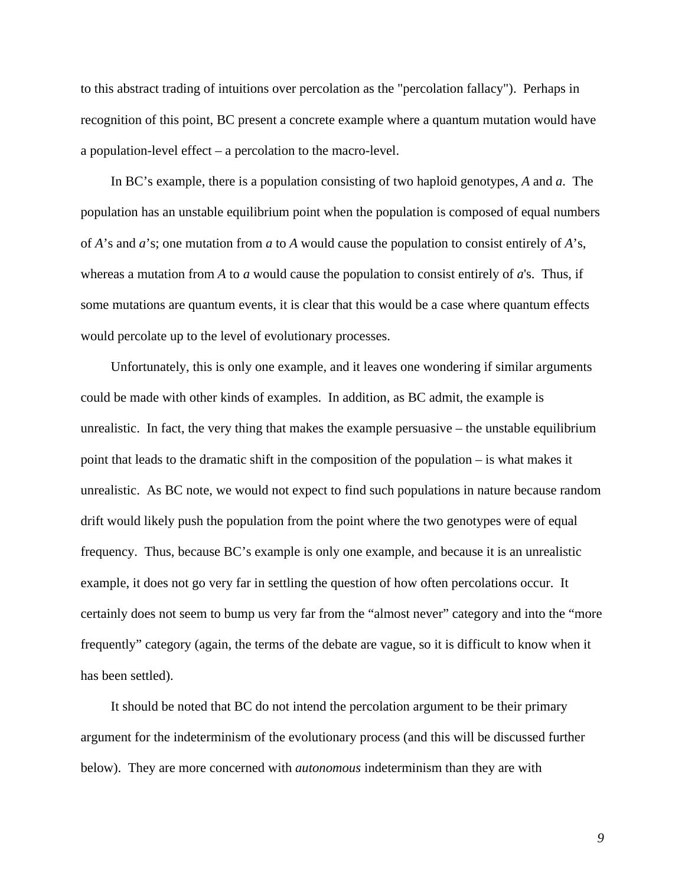to this abstract trading of intuitions over percolation as the "percolation fallacy"). Perhaps in recognition of this point, BC present a concrete example where a quantum mutation would have a population-level effect – a percolation to the macro-level.

In BC's example, there is a population consisting of two haploid genotypes, *A* and *a*. The population has an unstable equilibrium point when the population is composed of equal numbers of *A*'s and *a*'s; one mutation from *a* to *A* would cause the population to consist entirely of *A*'s, whereas a mutation from *A* to *a* would cause the population to consist entirely of *a*'s. Thus, if some mutations are quantum events, it is clear that this would be a case where quantum effects would percolate up to the level of evolutionary processes.

Unfortunately, this is only one example, and it leaves one wondering if similar arguments could be made with other kinds of examples. In addition, as BC admit, the example is unrealistic. In fact, the very thing that makes the example persuasive – the unstable equilibrium point that leads to the dramatic shift in the composition of the population – is what makes it unrealistic. As BC note, we would not expect to find such populations in nature because random drift would likely push the population from the point where the two genotypes were of equal frequency. Thus, because BC's example is only one example, and because it is an unrealistic example, it does not go very far in settling the question of how often percolations occur. It certainly does not seem to bump us very far from the "almost never" category and into the "more frequently" category (again, the terms of the debate are vague, so it is difficult to know when it has been settled).

It should be noted that BC do not intend the percolation argument to be their primary argument for the indeterminism of the evolutionary process (and this will be discussed further below). They are more concerned with *autonomous* indeterminism than they are with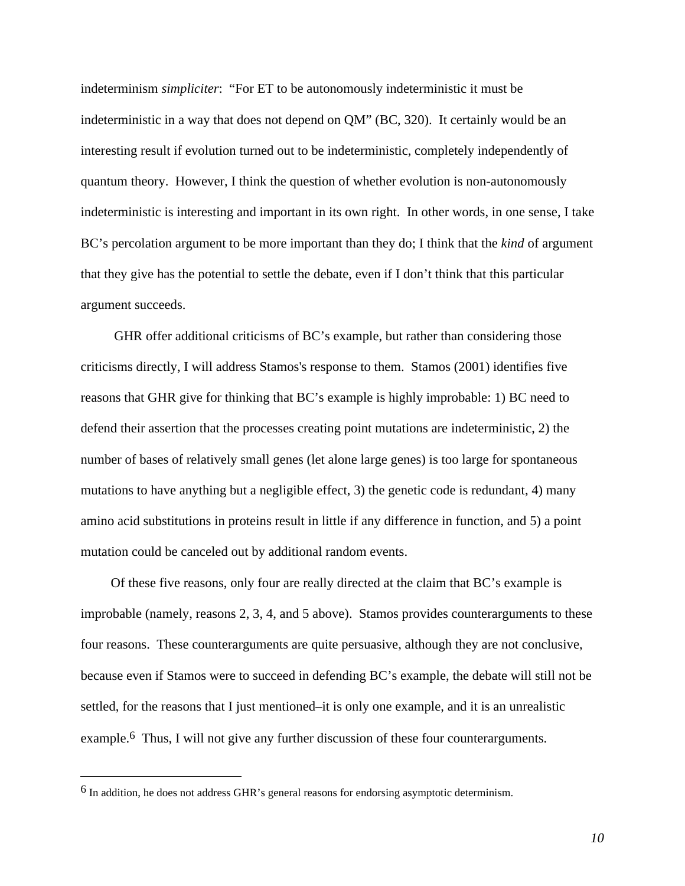indeterminism *simpliciter*: "For ET to be autonomously indeterministic it must be indeterministic in a way that does not depend on QM" (BC, 320). It certainly would be an interesting result if evolution turned out to be indeterministic, completely independently of quantum theory. However, I think the question of whether evolution is non-autonomously indeterministic is interesting and important in its own right. In other words, in one sense, I take BC's percolation argument to be more important than they do; I think that the *kind* of argument that they give has the potential to settle the debate, even if I don't think that this particular argument succeeds.

 GHR offer additional criticisms of BC's example, but rather than considering those criticisms directly, I will address Stamos's response to them. Stamos (2001) identifies five reasons that GHR give for thinking that BC's example is highly improbable: 1) BC need to defend their assertion that the processes creating point mutations are indeterministic, 2) the number of bases of relatively small genes (let alone large genes) is too large for spontaneous mutations to have anything but a negligible effect, 3) the genetic code is redundant, 4) many amino acid substitutions in proteins result in little if any difference in function, and 5) a point mutation could be canceled out by additional random events.

Of these five reasons, only four are really directed at the claim that BC's example is improbable (namely, reasons 2, 3, 4, and 5 above). Stamos provides counterarguments to these four reasons. These counterarguments are quite persuasive, although they are not conclusive, because even if Stamos were to succeed in defending BC's example, the debate will still not be settled, for the reasons that I just mentioned–it is only one example, and it is an unrealistic example.6 Thus, I will not give any further discussion of these four counterarguments.

<sup>6</sup> In addition, he does not address GHR's general reasons for endorsing asymptotic determinism.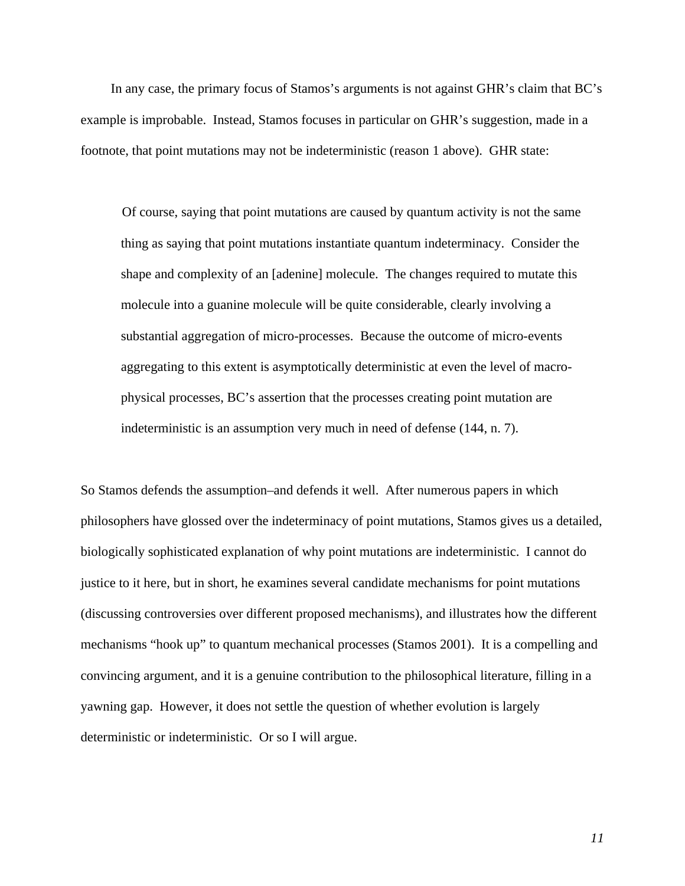In any case, the primary focus of Stamos's arguments is not against GHR's claim that BC's example is improbable. Instead, Stamos focuses in particular on GHR's suggestion, made in a footnote, that point mutations may not be indeterministic (reason 1 above). GHR state:

Of course, saying that point mutations are caused by quantum activity is not the same thing as saying that point mutations instantiate quantum indeterminacy. Consider the shape and complexity of an [adenine] molecule. The changes required to mutate this molecule into a guanine molecule will be quite considerable, clearly involving a substantial aggregation of micro-processes. Because the outcome of micro-events aggregating to this extent is asymptotically deterministic at even the level of macrophysical processes, BC's assertion that the processes creating point mutation are indeterministic is an assumption very much in need of defense (144, n. 7).

So Stamos defends the assumption–and defends it well. After numerous papers in which philosophers have glossed over the indeterminacy of point mutations, Stamos gives us a detailed, biologically sophisticated explanation of why point mutations are indeterministic. I cannot do justice to it here, but in short, he examines several candidate mechanisms for point mutations (discussing controversies over different proposed mechanisms), and illustrates how the different mechanisms "hook up" to quantum mechanical processes (Stamos 2001). It is a compelling and convincing argument, and it is a genuine contribution to the philosophical literature, filling in a yawning gap. However, it does not settle the question of whether evolution is largely deterministic or indeterministic. Or so I will argue.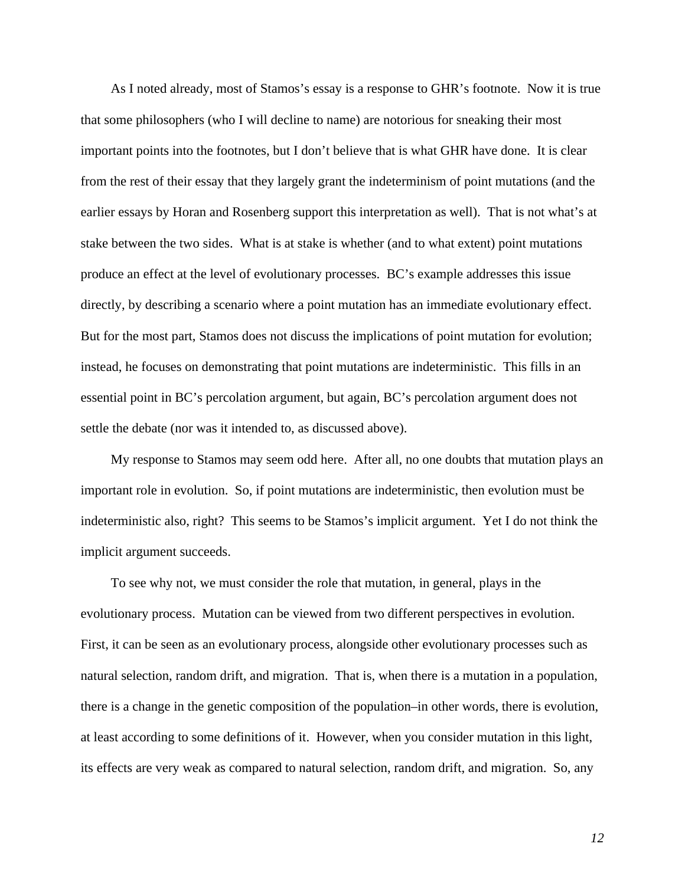As I noted already, most of Stamos's essay is a response to GHR's footnote. Now it is true that some philosophers (who I will decline to name) are notorious for sneaking their most important points into the footnotes, but I don't believe that is what GHR have done. It is clear from the rest of their essay that they largely grant the indeterminism of point mutations (and the earlier essays by Horan and Rosenberg support this interpretation as well). That is not what's at stake between the two sides. What is at stake is whether (and to what extent) point mutations produce an effect at the level of evolutionary processes. BC's example addresses this issue directly, by describing a scenario where a point mutation has an immediate evolutionary effect. But for the most part, Stamos does not discuss the implications of point mutation for evolution; instead, he focuses on demonstrating that point mutations are indeterministic. This fills in an essential point in BC's percolation argument, but again, BC's percolation argument does not settle the debate (nor was it intended to, as discussed above).

My response to Stamos may seem odd here. After all, no one doubts that mutation plays an important role in evolution. So, if point mutations are indeterministic, then evolution must be indeterministic also, right? This seems to be Stamos's implicit argument. Yet I do not think the implicit argument succeeds.

To see why not, we must consider the role that mutation, in general, plays in the evolutionary process. Mutation can be viewed from two different perspectives in evolution. First, it can be seen as an evolutionary process, alongside other evolutionary processes such as natural selection, random drift, and migration. That is, when there is a mutation in a population, there is a change in the genetic composition of the population–in other words, there is evolution, at least according to some definitions of it. However, when you consider mutation in this light, its effects are very weak as compared to natural selection, random drift, and migration. So, any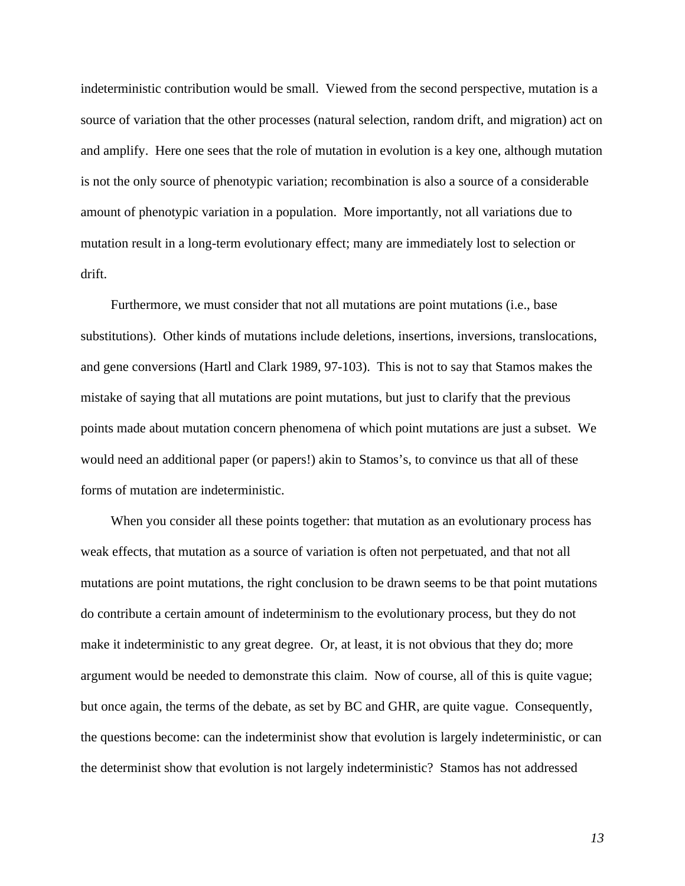indeterministic contribution would be small. Viewed from the second perspective, mutation is a source of variation that the other processes (natural selection, random drift, and migration) act on and amplify. Here one sees that the role of mutation in evolution is a key one, although mutation is not the only source of phenotypic variation; recombination is also a source of a considerable amount of phenotypic variation in a population. More importantly, not all variations due to mutation result in a long-term evolutionary effect; many are immediately lost to selection or drift.

Furthermore, we must consider that not all mutations are point mutations (i.e., base substitutions). Other kinds of mutations include deletions, insertions, inversions, translocations, and gene conversions (Hartl and Clark 1989, 97-103). This is not to say that Stamos makes the mistake of saying that all mutations are point mutations, but just to clarify that the previous points made about mutation concern phenomena of which point mutations are just a subset. We would need an additional paper (or papers!) akin to Stamos's, to convince us that all of these forms of mutation are indeterministic.

When you consider all these points together: that mutation as an evolutionary process has weak effects, that mutation as a source of variation is often not perpetuated, and that not all mutations are point mutations, the right conclusion to be drawn seems to be that point mutations do contribute a certain amount of indeterminism to the evolutionary process, but they do not make it indeterministic to any great degree. Or, at least, it is not obvious that they do; more argument would be needed to demonstrate this claim. Now of course, all of this is quite vague; but once again, the terms of the debate, as set by BC and GHR, are quite vague. Consequently, the questions become: can the indeterminist show that evolution is largely indeterministic, or can the determinist show that evolution is not largely indeterministic? Stamos has not addressed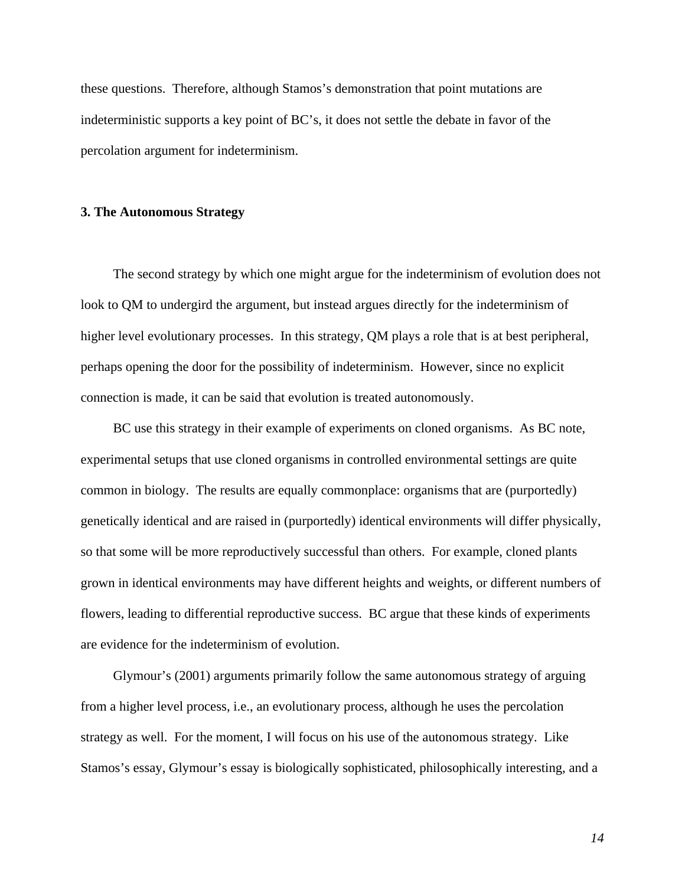these questions. Therefore, although Stamos's demonstration that point mutations are indeterministic supports a key point of BC's, it does not settle the debate in favor of the percolation argument for indeterminism.

#### **3. The Autonomous Strategy**

The second strategy by which one might argue for the indeterminism of evolution does not look to QM to undergird the argument, but instead argues directly for the indeterminism of higher level evolutionary processes. In this strategy, QM plays a role that is at best peripheral, perhaps opening the door for the possibility of indeterminism. However, since no explicit connection is made, it can be said that evolution is treated autonomously.

BC use this strategy in their example of experiments on cloned organisms. As BC note, experimental setups that use cloned organisms in controlled environmental settings are quite common in biology. The results are equally commonplace: organisms that are (purportedly) genetically identical and are raised in (purportedly) identical environments will differ physically, so that some will be more reproductively successful than others. For example, cloned plants grown in identical environments may have different heights and weights, or different numbers of flowers, leading to differential reproductive success. BC argue that these kinds of experiments are evidence for the indeterminism of evolution.

Glymour's (2001) arguments primarily follow the same autonomous strategy of arguing from a higher level process, i.e., an evolutionary process, although he uses the percolation strategy as well. For the moment, I will focus on his use of the autonomous strategy. Like Stamos's essay, Glymour's essay is biologically sophisticated, philosophically interesting, and a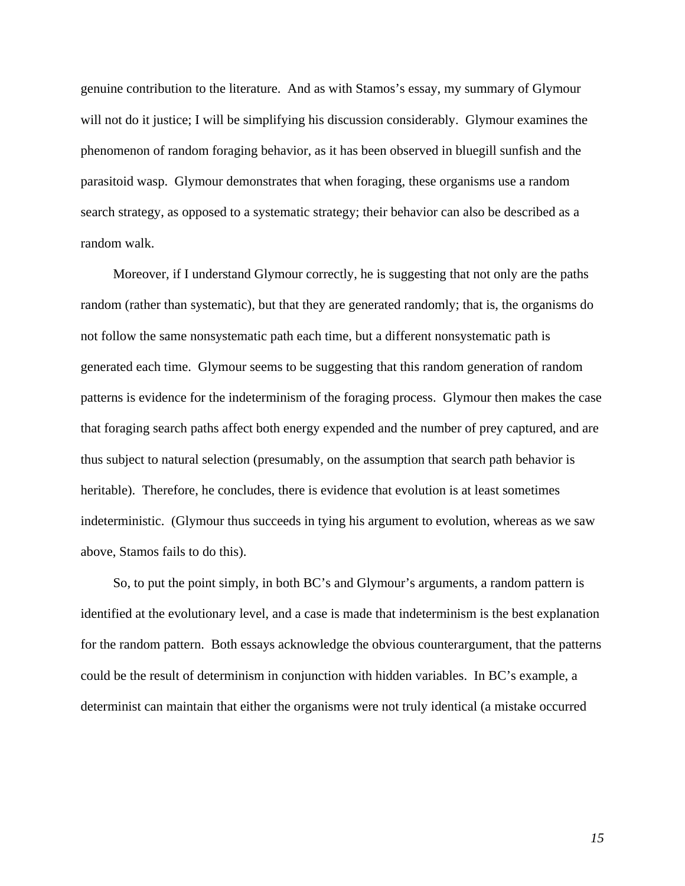genuine contribution to the literature. And as with Stamos's essay, my summary of Glymour will not do it justice; I will be simplifying his discussion considerably. Glymour examines the phenomenon of random foraging behavior, as it has been observed in bluegill sunfish and the parasitoid wasp. Glymour demonstrates that when foraging, these organisms use a random search strategy, as opposed to a systematic strategy; their behavior can also be described as a random walk.

Moreover, if I understand Glymour correctly, he is suggesting that not only are the paths random (rather than systematic), but that they are generated randomly; that is, the organisms do not follow the same nonsystematic path each time, but a different nonsystematic path is generated each time. Glymour seems to be suggesting that this random generation of random patterns is evidence for the indeterminism of the foraging process. Glymour then makes the case that foraging search paths affect both energy expended and the number of prey captured, and are thus subject to natural selection (presumably, on the assumption that search path behavior is heritable). Therefore, he concludes, there is evidence that evolution is at least sometimes indeterministic. (Glymour thus succeeds in tying his argument to evolution, whereas as we saw above, Stamos fails to do this).

So, to put the point simply, in both BC's and Glymour's arguments, a random pattern is identified at the evolutionary level, and a case is made that indeterminism is the best explanation for the random pattern. Both essays acknowledge the obvious counterargument, that the patterns could be the result of determinism in conjunction with hidden variables. In BC's example, a determinist can maintain that either the organisms were not truly identical (a mistake occurred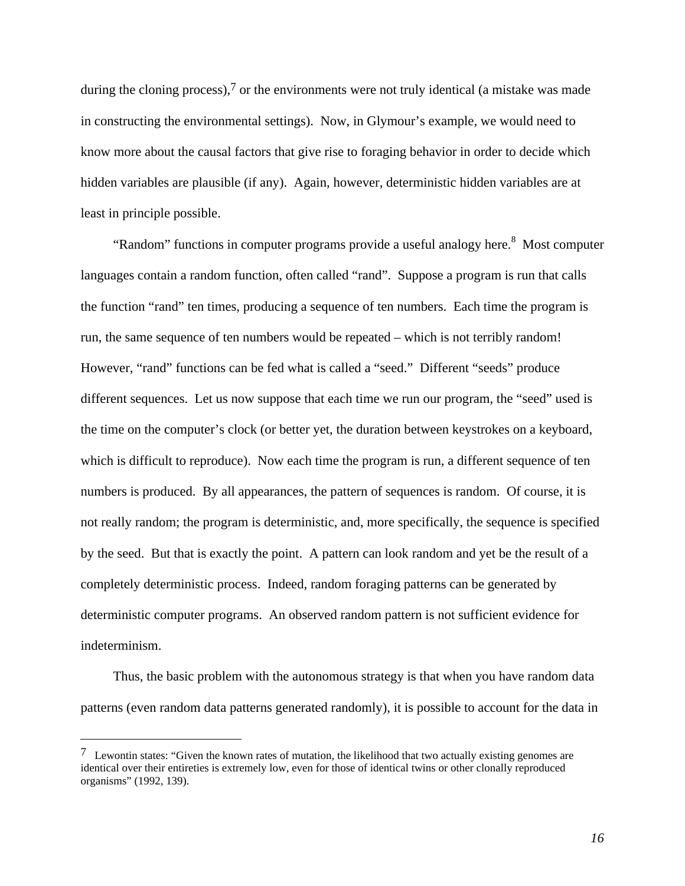during the cloning process),  $\frac{7}{1}$  or the environments were not truly identical (a mistake was made in constructing the environmental settings). Now, in Glymour's example, we would need to know more about the causal factors that give rise to foraging behavior in order to decide which hidden variables are plausible (if any). Again, however, deterministic hidden variables are at least in principle possible.

"Random" functions in computer programs provide a useful analogy here.<sup>8</sup> Most computer languages contain a random function, often called "rand". Suppose a program is run that calls the function "rand" ten times, producing a sequence of ten numbers. Each time the program is run, the same sequence of ten numbers would be repeated – which is not terribly random! However, "rand" functions can be fed what is called a "seed." Different "seeds" produce different sequences. Let us now suppose that each time we run our program, the "seed" used is the time on the computer's clock (or better yet, the duration between keystrokes on a keyboard, which is difficult to reproduce). Now each time the program is run, a different sequence of ten numbers is produced. By all appearances, the pattern of sequences is random. Of course, it is not really random; the program is deterministic, and, more specifically, the sequence is specified by the seed. But that is exactly the point. A pattern can look random and yet be the result of a completely deterministic process. Indeed, random foraging patterns can be generated by deterministic computer programs. An observed random pattern is not sufficient evidence for indeterminism.

Thus, the basic problem with the autonomous strategy is that when you have random data patterns (even random data patterns generated randomly), it is possible to account for the data in

<sup>&</sup>lt;sup>7</sup> Lewontin states: "Given the known rates of mutation, the likelihood that two actually existing genomes are identical over their entireties is extremely low, even for those of identical twins or other clonally reproduced organisms" (1992, 139).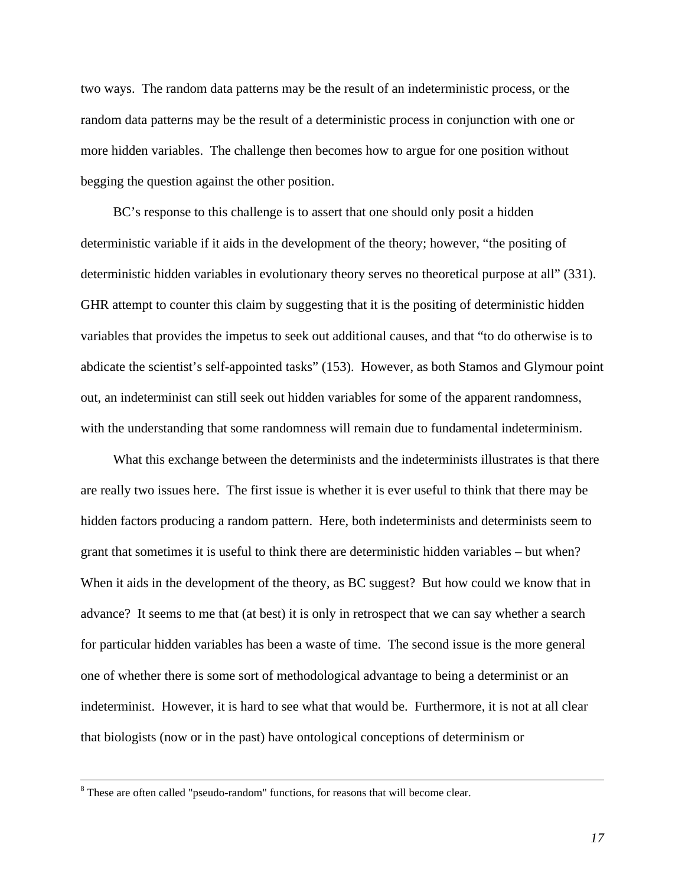two ways. The random data patterns may be the result of an indeterministic process, or the random data patterns may be the result of a deterministic process in conjunction with one or more hidden variables. The challenge then becomes how to argue for one position without begging the question against the other position.

BC's response to this challenge is to assert that one should only posit a hidden deterministic variable if it aids in the development of the theory; however, "the positing of deterministic hidden variables in evolutionary theory serves no theoretical purpose at all" (331). GHR attempt to counter this claim by suggesting that it is the positing of deterministic hidden variables that provides the impetus to seek out additional causes, and that "to do otherwise is to abdicate the scientist's self-appointed tasks" (153). However, as both Stamos and Glymour point out, an indeterminist can still seek out hidden variables for some of the apparent randomness, with the understanding that some randomness will remain due to fundamental indeterminism.

What this exchange between the determinists and the indeterminists illustrates is that there are really two issues here. The first issue is whether it is ever useful to think that there may be hidden factors producing a random pattern. Here, both indeterminists and determinists seem to grant that sometimes it is useful to think there are deterministic hidden variables – but when? When it aids in the development of the theory, as BC suggest? But how could we know that in advance? It seems to me that (at best) it is only in retrospect that we can say whether a search for particular hidden variables has been a waste of time. The second issue is the more general one of whether there is some sort of methodological advantage to being a determinist or an indeterminist. However, it is hard to see what that would be. Furthermore, it is not at all clear that biologists (now or in the past) have ontological conceptions of determinism or

<sup>&</sup>lt;sup>8</sup> These are often called "pseudo-random" functions, for reasons that will become clear.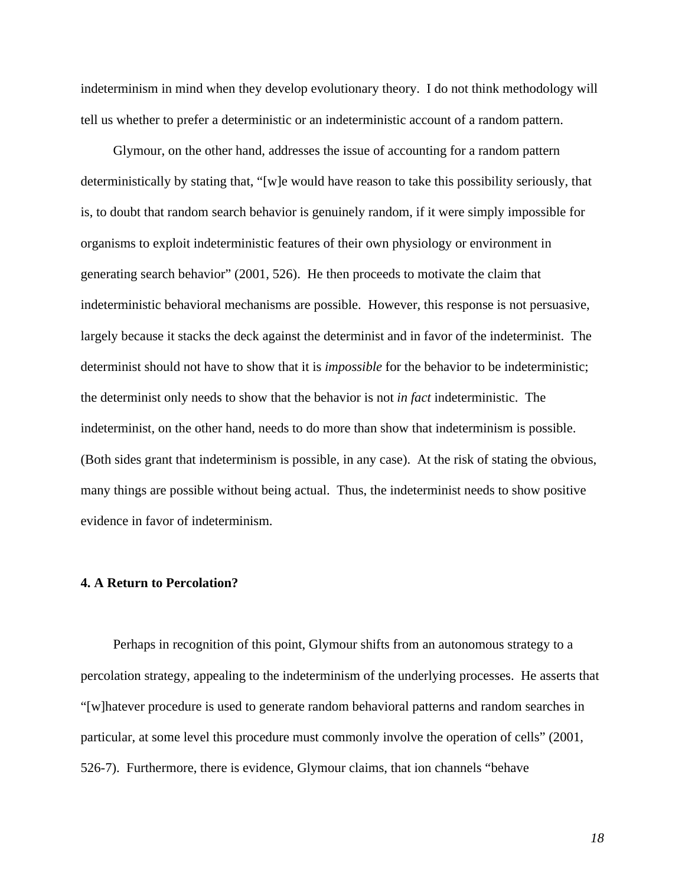indeterminism in mind when they develop evolutionary theory. I do not think methodology will tell us whether to prefer a deterministic or an indeterministic account of a random pattern.

Glymour, on the other hand, addresses the issue of accounting for a random pattern deterministically by stating that, "[w]e would have reason to take this possibility seriously, that is, to doubt that random search behavior is genuinely random, if it were simply impossible for organisms to exploit indeterministic features of their own physiology or environment in generating search behavior" (2001, 526). He then proceeds to motivate the claim that indeterministic behavioral mechanisms are possible. However, this response is not persuasive, largely because it stacks the deck against the determinist and in favor of the indeterminist. The determinist should not have to show that it is *impossible* for the behavior to be indeterministic; the determinist only needs to show that the behavior is not *in fact* indeterministic. The indeterminist, on the other hand, needs to do more than show that indeterminism is possible. (Both sides grant that indeterminism is possible, in any case). At the risk of stating the obvious, many things are possible without being actual. Thus, the indeterminist needs to show positive evidence in favor of indeterminism.

## **4. A Return to Percolation?**

Perhaps in recognition of this point, Glymour shifts from an autonomous strategy to a percolation strategy, appealing to the indeterminism of the underlying processes. He asserts that "[w]hatever procedure is used to generate random behavioral patterns and random searches in particular, at some level this procedure must commonly involve the operation of cells" (2001, 526-7). Furthermore, there is evidence, Glymour claims, that ion channels "behave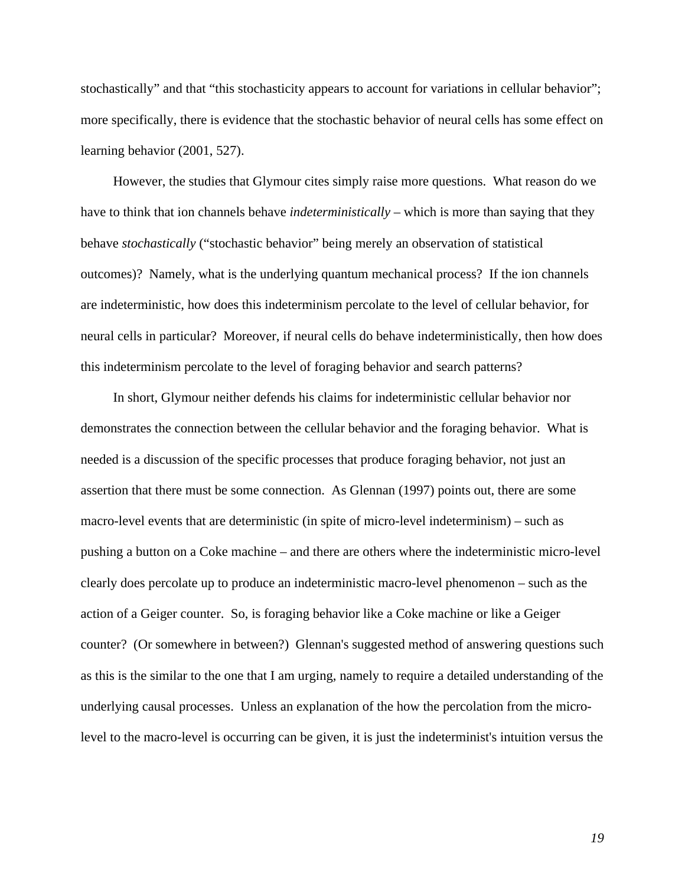stochastically" and that "this stochasticity appears to account for variations in cellular behavior"; more specifically, there is evidence that the stochastic behavior of neural cells has some effect on learning behavior (2001, 527).

However, the studies that Glymour cites simply raise more questions. What reason do we have to think that ion channels behave *indeterministically* – which is more than saying that they behave *stochastically* ("stochastic behavior" being merely an observation of statistical outcomes)? Namely, what is the underlying quantum mechanical process? If the ion channels are indeterministic, how does this indeterminism percolate to the level of cellular behavior, for neural cells in particular? Moreover, if neural cells do behave indeterministically, then how does this indeterminism percolate to the level of foraging behavior and search patterns?

In short, Glymour neither defends his claims for indeterministic cellular behavior nor demonstrates the connection between the cellular behavior and the foraging behavior. What is needed is a discussion of the specific processes that produce foraging behavior, not just an assertion that there must be some connection. As Glennan (1997) points out, there are some macro-level events that are deterministic (in spite of micro-level indeterminism) – such as pushing a button on a Coke machine – and there are others where the indeterministic micro-level clearly does percolate up to produce an indeterministic macro-level phenomenon – such as the action of a Geiger counter. So, is foraging behavior like a Coke machine or like a Geiger counter? (Or somewhere in between?) Glennan's suggested method of answering questions such as this is the similar to the one that I am urging, namely to require a detailed understanding of the underlying causal processes. Unless an explanation of the how the percolation from the microlevel to the macro-level is occurring can be given, it is just the indeterminist's intuition versus the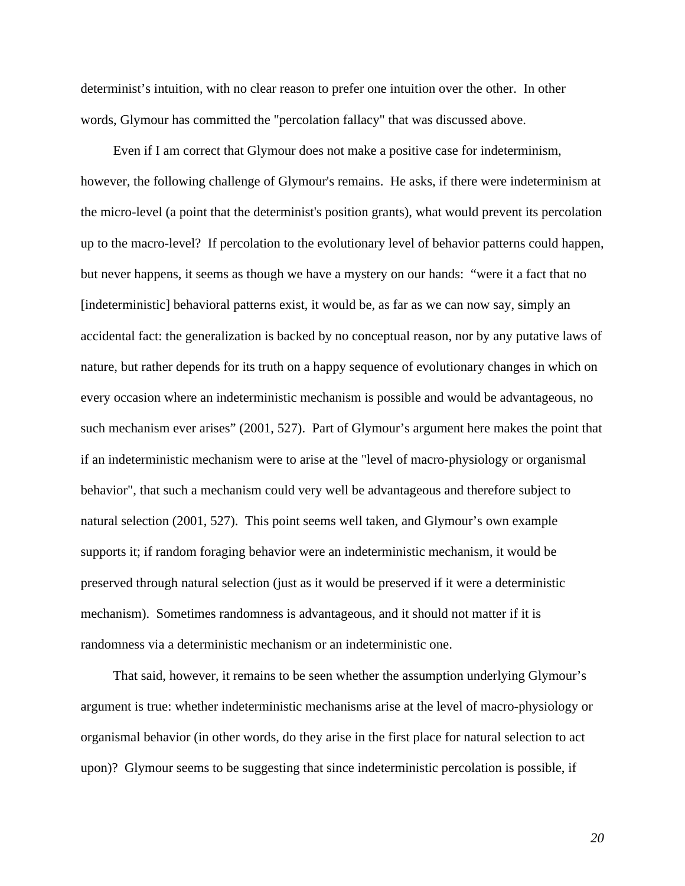determinist's intuition, with no clear reason to prefer one intuition over the other. In other words, Glymour has committed the "percolation fallacy" that was discussed above.

Even if I am correct that Glymour does not make a positive case for indeterminism, however, the following challenge of Glymour's remains. He asks, if there were indeterminism at the micro-level (a point that the determinist's position grants), what would prevent its percolation up to the macro-level? If percolation to the evolutionary level of behavior patterns could happen, but never happens, it seems as though we have a mystery on our hands: "were it a fact that no [indeterministic] behavioral patterns exist, it would be, as far as we can now say, simply an accidental fact: the generalization is backed by no conceptual reason, nor by any putative laws of nature, but rather depends for its truth on a happy sequence of evolutionary changes in which on every occasion where an indeterministic mechanism is possible and would be advantageous, no such mechanism ever arises" (2001, 527). Part of Glymour's argument here makes the point that if an indeterministic mechanism were to arise at the "level of macro-physiology or organismal behavior", that such a mechanism could very well be advantageous and therefore subject to natural selection (2001, 527). This point seems well taken, and Glymour's own example supports it; if random foraging behavior were an indeterministic mechanism, it would be preserved through natural selection (just as it would be preserved if it were a deterministic mechanism). Sometimes randomness is advantageous, and it should not matter if it is randomness via a deterministic mechanism or an indeterministic one.

That said, however, it remains to be seen whether the assumption underlying Glymour's argument is true: whether indeterministic mechanisms arise at the level of macro-physiology or organismal behavior (in other words, do they arise in the first place for natural selection to act upon)? Glymour seems to be suggesting that since indeterministic percolation is possible, if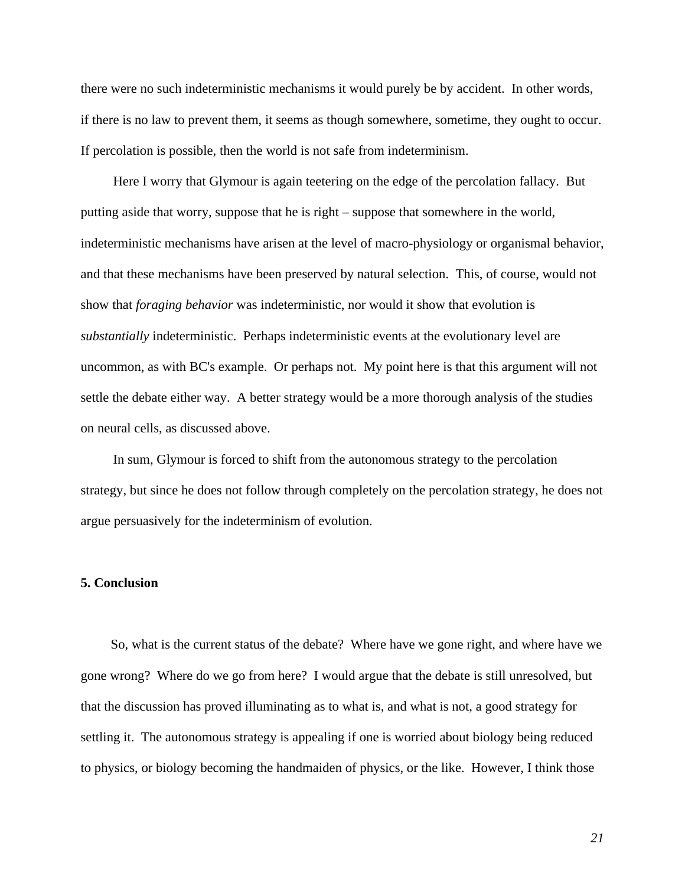there were no such indeterministic mechanisms it would purely be by accident. In other words, if there is no law to prevent them, it seems as though somewhere, sometime, they ought to occur. If percolation is possible, then the world is not safe from indeterminism.

Here I worry that Glymour is again teetering on the edge of the percolation fallacy. But putting aside that worry, suppose that he is right – suppose that somewhere in the world, indeterministic mechanisms have arisen at the level of macro-physiology or organismal behavior, and that these mechanisms have been preserved by natural selection. This, of course, would not show that *foraging behavior* was indeterministic, nor would it show that evolution is *substantially* indeterministic. Perhaps indeterministic events at the evolutionary level are uncommon, as with BC's example. Or perhaps not. My point here is that this argument will not settle the debate either way. A better strategy would be a more thorough analysis of the studies on neural cells, as discussed above.

In sum, Glymour is forced to shift from the autonomous strategy to the percolation strategy, but since he does not follow through completely on the percolation strategy, he does not argue persuasively for the indeterminism of evolution.

## **5. Conclusion**

So, what is the current status of the debate? Where have we gone right, and where have we gone wrong? Where do we go from here? I would argue that the debate is still unresolved, but that the discussion has proved illuminating as to what is, and what is not, a good strategy for settling it. The autonomous strategy is appealing if one is worried about biology being reduced to physics, or biology becoming the handmaiden of physics, or the like. However, I think those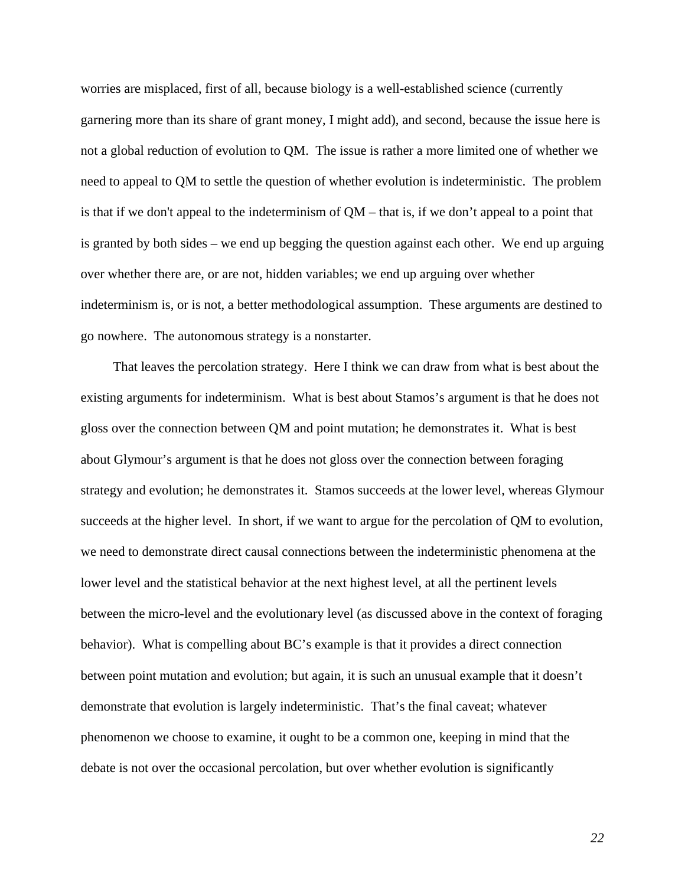worries are misplaced, first of all, because biology is a well-established science (currently garnering more than its share of grant money, I might add), and second, because the issue here is not a global reduction of evolution to QM. The issue is rather a more limited one of whether we need to appeal to QM to settle the question of whether evolution is indeterministic. The problem is that if we don't appeal to the indeterminism of QM – that is, if we don't appeal to a point that is granted by both sides – we end up begging the question against each other. We end up arguing over whether there are, or are not, hidden variables; we end up arguing over whether indeterminism is, or is not, a better methodological assumption. These arguments are destined to go nowhere. The autonomous strategy is a nonstarter.

That leaves the percolation strategy. Here I think we can draw from what is best about the existing arguments for indeterminism. What is best about Stamos's argument is that he does not gloss over the connection between QM and point mutation; he demonstrates it. What is best about Glymour's argument is that he does not gloss over the connection between foraging strategy and evolution; he demonstrates it. Stamos succeeds at the lower level, whereas Glymour succeeds at the higher level. In short, if we want to argue for the percolation of QM to evolution, we need to demonstrate direct causal connections between the indeterministic phenomena at the lower level and the statistical behavior at the next highest level, at all the pertinent levels between the micro-level and the evolutionary level (as discussed above in the context of foraging behavior). What is compelling about BC's example is that it provides a direct connection between point mutation and evolution; but again, it is such an unusual example that it doesn't demonstrate that evolution is largely indeterministic. That's the final caveat; whatever phenomenon we choose to examine, it ought to be a common one, keeping in mind that the debate is not over the occasional percolation, but over whether evolution is significantly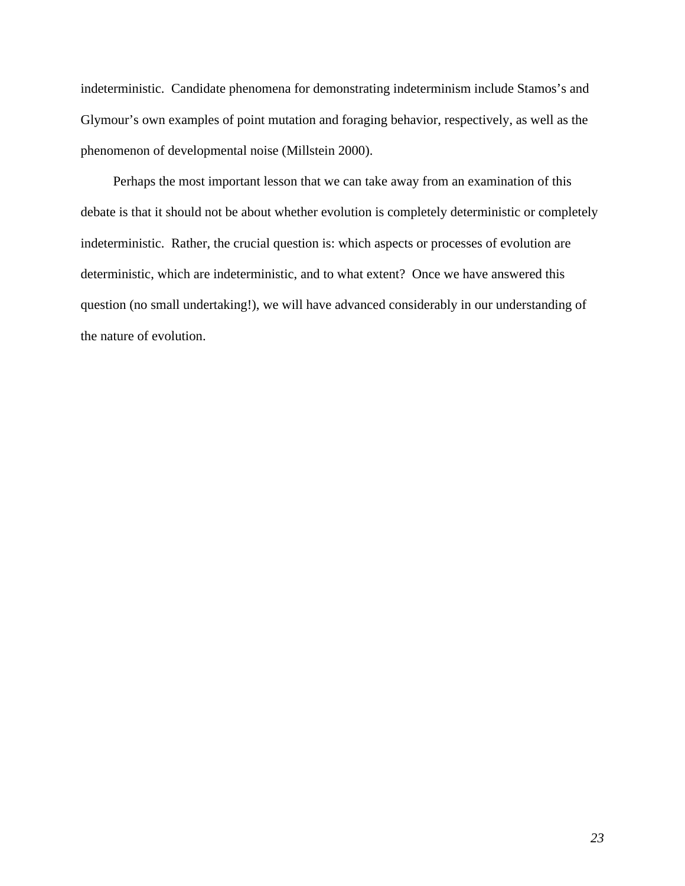indeterministic. Candidate phenomena for demonstrating indeterminism include Stamos's and Glymour's own examples of point mutation and foraging behavior, respectively, as well as the phenomenon of developmental noise (Millstein 2000).

Perhaps the most important lesson that we can take away from an examination of this debate is that it should not be about whether evolution is completely deterministic or completely indeterministic. Rather, the crucial question is: which aspects or processes of evolution are deterministic, which are indeterministic, and to what extent? Once we have answered this question (no small undertaking!), we will have advanced considerably in our understanding of the nature of evolution.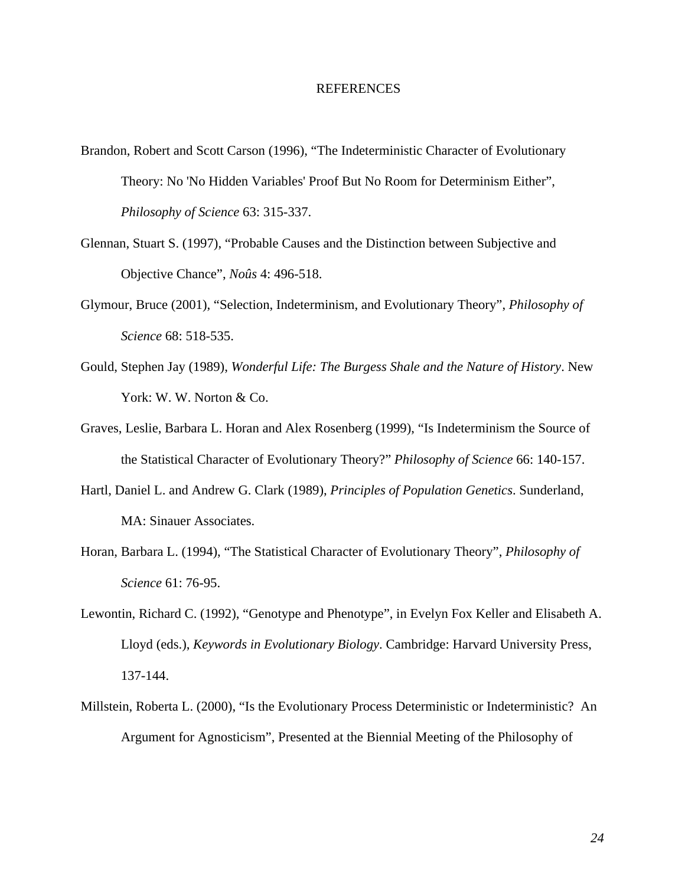#### REFERENCES

- Brandon, Robert and Scott Carson (1996), "The Indeterministic Character of Evolutionary Theory: No 'No Hidden Variables' Proof But No Room for Determinism Either", *Philosophy of Science* 63: 315-337.
- Glennan, Stuart S. (1997), "Probable Causes and the Distinction between Subjective and Objective Chance", *Noûs* 4: 496-518.
- Glymour, Bruce (2001), "Selection, Indeterminism, and Evolutionary Theory", *Philosophy of Science* 68: 518-535.
- Gould, Stephen Jay (1989), *Wonderful Life: The Burgess Shale and the Nature of History*. New York: W. W. Norton & Co.
- Graves, Leslie, Barbara L. Horan and Alex Rosenberg (1999), "Is Indeterminism the Source of the Statistical Character of Evolutionary Theory?" *Philosophy of Science* 66: 140-157.
- Hartl, Daniel L. and Andrew G. Clark (1989), *Principles of Population Genetics*. Sunderland, MA: Sinauer Associates.
- Horan, Barbara L. (1994), "The Statistical Character of Evolutionary Theory", *Philosophy of Science* 61: 76-95.
- Lewontin, Richard C. (1992), "Genotype and Phenotype", in Evelyn Fox Keller and Elisabeth A. Lloyd (eds.), *Keywords in Evolutionary Biology*. Cambridge: Harvard University Press, 137-144.
- Millstein, Roberta L. (2000), "Is the Evolutionary Process Deterministic or Indeterministic? An Argument for Agnosticism", Presented at the Biennial Meeting of the Philosophy of